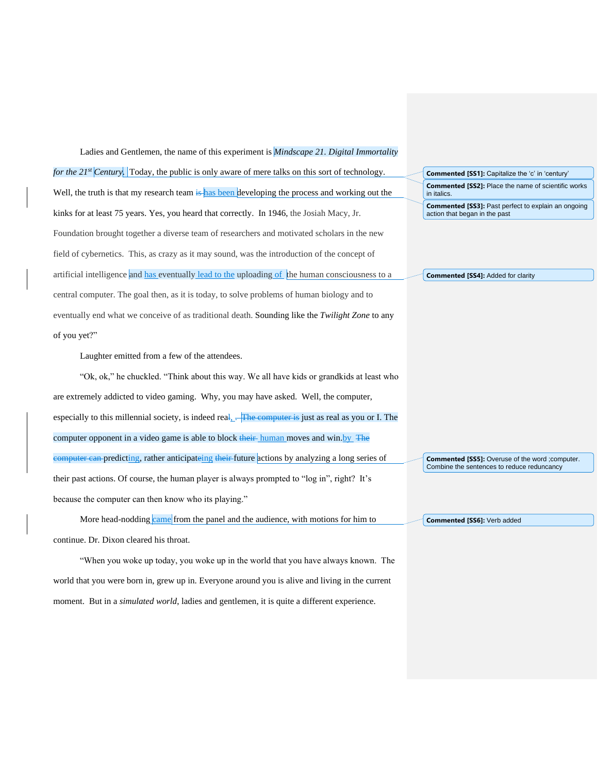Ladies and Gentlemen, the name of this experiment is *Mindscape 21. Digital Immortality for the 21<sup>st</sup> Century.* Today, the public is only aware of mere talks on this sort of technology. Well, the truth is that my research team is has been developing the process and working out the kinks for at least 75 years. Yes, you heard that correctly. In 1946, the Josiah Macy, Jr. Foundation brought together a diverse team of researchers and motivated scholars in the new field of cybernetics. This, as crazy as it may sound, was the introduction of the concept of artificial intelligence and has eventually lead to the uploading of the human consciousness to a central computer. The goal then, as it is today, to solve problems of human biology and to eventually end what we conceive of as traditional death. Sounding like the *Twilight Zone* to any of you yet?" **Commented [SS1]:** Capitalize the 'c' in 'century' in italics. action that began in the past **Commented [SS4]:** Added for clarity

Laughter emitted from a few of the attendees.

"Ok, ok," he chuckled. "Think about this way. We all have kids or grandkids at least who are extremely addicted to video gaming. Why, you may have asked. Well, the computer, especially to this millennial society, is indeed real,  $\overline{R}$  The computer is just as real as you or I. The computer opponent in a video game is able to block their human moves and win.by The computer can predicting, rather anticipateing their future actions by analyzing a long series of their past actions. Of course, the human player is always prompted to "log in", right? It's because the computer can then know who its playing."

More head-nodding came from the panel and the audience, with motions for him to continue. Dr. Dixon cleared his throat.

"When you woke up today, you woke up in the world that you have always known. The world that you were born in, grew up in. Everyone around you is alive and living in the current moment. But in a *simulated world*, ladies and gentlemen, it is quite a different experience.

**Commented [SS2]:** Place the name of scientific works **Commented [SS3]:** Past perfect to explain an ongoing

**Commented [SS5]:** Overuse of the word ;computer. Combine the sentences to reduce reduncancy

**Commented [SS6]:** Verb added